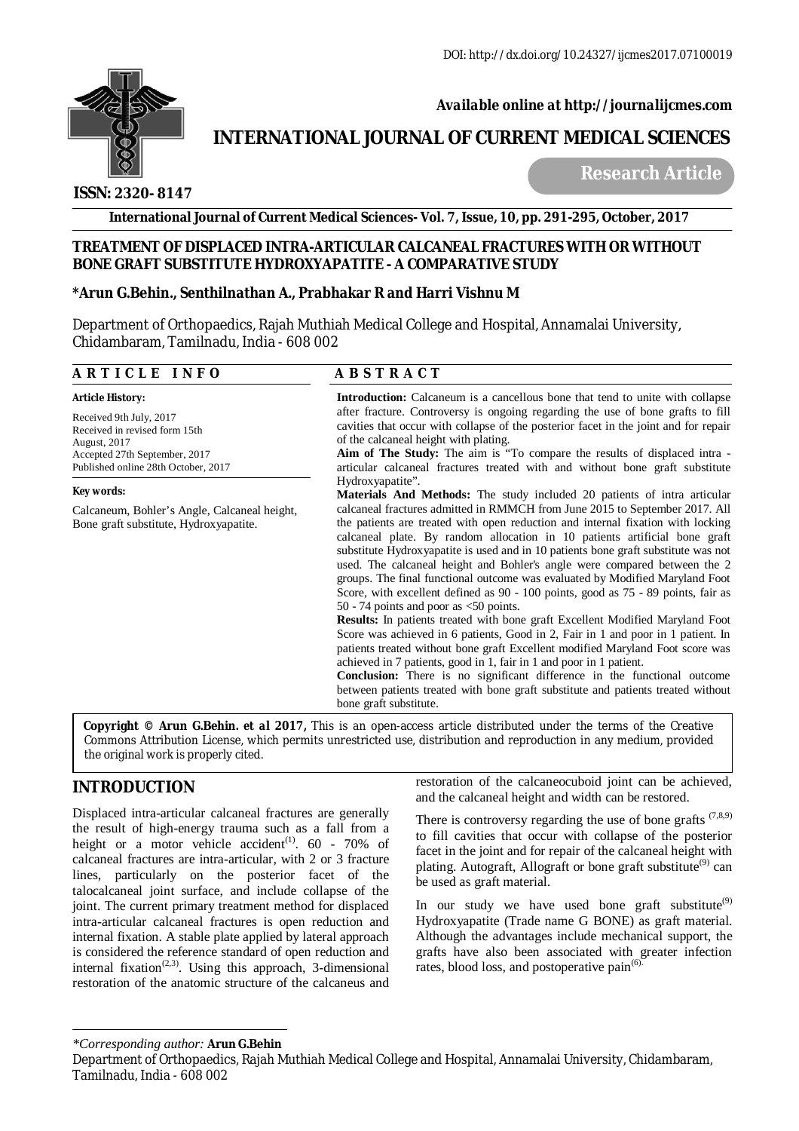

 *Available online at<http://journalijcmes.com>*

# **INTERNATIONAL JOURNAL OF CURRENT MEDICAL SCIENCES**

 **ISSN: 2320- 8147**

 **Research Article**

**International Journal of Current Medical Sciences- Vol. 7, Issue, 10, pp. 291-295, October, 2017**

# **TREATMENT OF DISPLACED INTRA-ARTICULAR CALCANEAL FRACTURES WITH OR WITHOUT BONE GRAFT SUBSTITUTE HYDROXYAPATITE - A COMPARATIVE STUDY**

# **\*Arun G.Behin., Senthilnathan A., Prabhakar R and Harri Vishnu M**

Department of Orthopaedics, Rajah Muthiah Medical College and Hospital, Annamalai University, Chidambaram, Tamilnadu, India - 608 002

| ARTICLE INFO                                                                                                                                     | <b>ABSTRACT</b>                                                                                                                                                                                                                                                                                                                                                                                                                                                                                                                                                                                                                                                                                                                                                                                                                                                                                                                                                                                                                                                                                                                                                                                                                                        |  |  |  |
|--------------------------------------------------------------------------------------------------------------------------------------------------|--------------------------------------------------------------------------------------------------------------------------------------------------------------------------------------------------------------------------------------------------------------------------------------------------------------------------------------------------------------------------------------------------------------------------------------------------------------------------------------------------------------------------------------------------------------------------------------------------------------------------------------------------------------------------------------------------------------------------------------------------------------------------------------------------------------------------------------------------------------------------------------------------------------------------------------------------------------------------------------------------------------------------------------------------------------------------------------------------------------------------------------------------------------------------------------------------------------------------------------------------------|--|--|--|
| <b>Article History:</b>                                                                                                                          | <b>Introduction:</b> Calcaneum is a cancellous bone that tend to unite with collapse                                                                                                                                                                                                                                                                                                                                                                                                                                                                                                                                                                                                                                                                                                                                                                                                                                                                                                                                                                                                                                                                                                                                                                   |  |  |  |
| Received 9th July, 2017<br>Received in revised form 15th<br>August, 2017<br>Accepted 27th September, 2017<br>Published online 28th October, 2017 | after fracture. Controversy is ongoing regarding the use of bone grafts to fill<br>cavities that occur with collapse of the posterior facet in the joint and for repair<br>of the calcaneal height with plating.<br>Aim of The Study: The aim is "To compare the results of displaced intra -<br>articular calcaneal fractures treated with and without bone graft substitute                                                                                                                                                                                                                                                                                                                                                                                                                                                                                                                                                                                                                                                                                                                                                                                                                                                                          |  |  |  |
| Key words:                                                                                                                                       | Hydroxyapatite".                                                                                                                                                                                                                                                                                                                                                                                                                                                                                                                                                                                                                                                                                                                                                                                                                                                                                                                                                                                                                                                                                                                                                                                                                                       |  |  |  |
| Calcaneum, Bohler's Angle, Calcaneal height,<br>Bone graft substitute, Hydroxyapatite.                                                           | <b>Materials And Methods:</b> The study included 20 patients of intra articular<br>calcaneal fractures admitted in RMMCH from June 2015 to September 2017. All<br>the patients are treated with open reduction and internal fixation with locking<br>calcaneal plate. By random allocation in 10 patients artificial bone graft<br>substitute Hydroxyapatite is used and in 10 patients bone graft substitute was not<br>used. The calcaneal height and Bohler's angle were compared between the 2<br>groups. The final functional outcome was evaluated by Modified Maryland Foot<br>Score, with excellent defined as 90 - 100 points, good as 75 - 89 points, fair as<br>50 - 74 points and poor as $\leq$ 50 points.<br>Results: In patients treated with bone graft Excellent Modified Maryland Foot<br>Score was achieved in 6 patients, Good in 2, Fair in 1 and poor in 1 patient. In<br>patients treated without bone graft Excellent modified Maryland Foot score was<br>achieved in 7 patients, good in 1, fair in 1 and poor in 1 patient.<br><b>Conclusion:</b> There is no significant difference in the functional outcome<br>between patients treated with bone graft substitute and patients treated without<br>bone graft substitute. |  |  |  |

**Arun G.Behin***. et al* 2017, This is an open-access article distributed under the terms of the Creative Commons Attribution License, which permits unrestricted use, distribution and reproduction in any medium, provided the original work is properly cited.

# **INTRODUCTION**

Displaced intra-articular calcaneal fractures are generally the result of high-energy trauma such as a fall from a height or a motor vehicle accident<sup>(1)</sup>.  $60 - 70\%$  of calcaneal fractures are intra-articular, with 2 or 3 fracture lines, particularly on the posterior facet of the talocalcaneal joint surface, and include collapse of the joint. The current primary treatment method for displaced intra-articular calcaneal fractures is open reduction and internal fixation. A stable plate applied by lateral approach is considered the reference standard of open reduction and internal fixation<sup> $(2,3)$ </sup>. Using this approach, 3-dimensional restoration of the anatomic structure of the calcaneus and

restoration of the calcaneocuboid joint can be achieved, and the calcaneal height and width can be restored.

There is controversy regarding the use of bone grafts  $(7,8,9)$ to fill cavities that occur with collapse of the posterior facet in the joint and for repair of the calcaneal height with plating. Autograft, Allograft or bone graft substitute<sup>(9)</sup> can be used as graft material.

In our study we have used bone graft substitute $(9)$ Hydroxyapatite (Trade name G BONE) as graft material. Although the advantages include mechanical support, the grafts have also been associated with greater infection rates, blood loss, and postoperative pain<sup>(6</sup>)

*<sup>\*</sup>Corresponding author:* **Arun G.Behin**

Department of Orthopaedics, Rajah Muthiah Medical College and Hospital, Annamalai University, Chidambaram, Tamilnadu, India - 608 002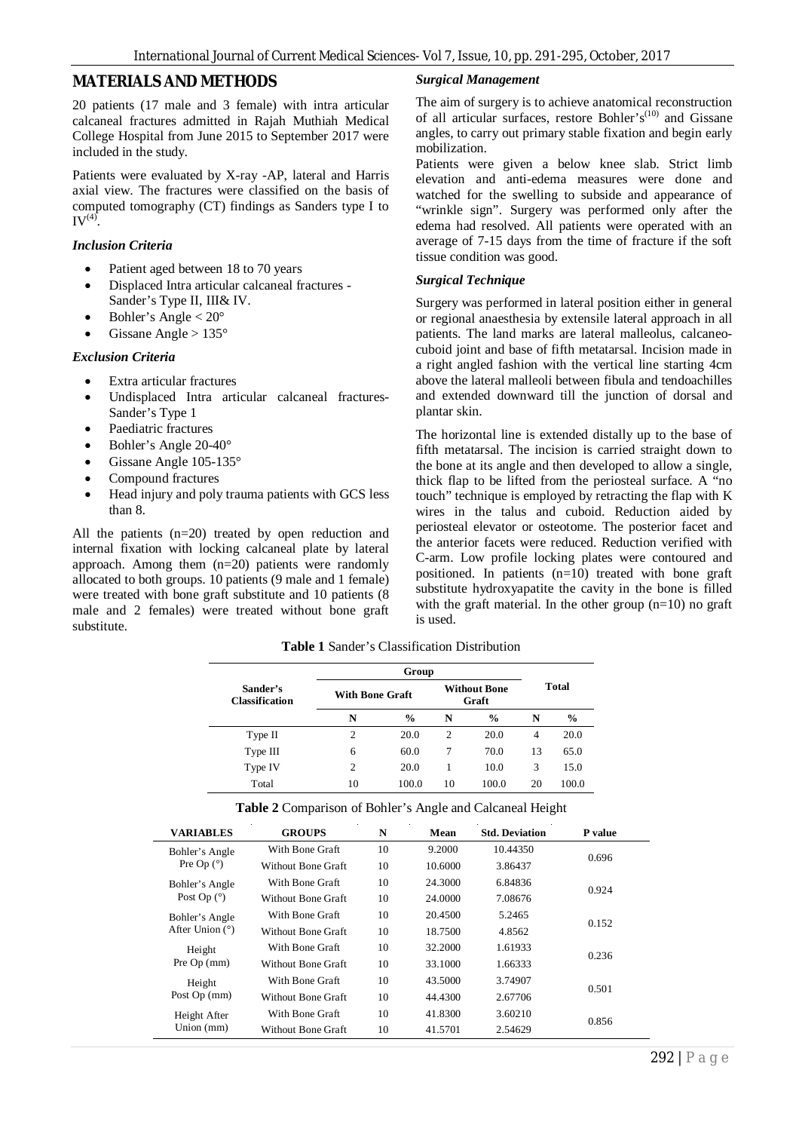# **MATERIALS AND METHODS**

20 patients (17 male and 3 female) with intra articular calcaneal fractures admitted in Rajah Muthiah Medical College Hospital from June 2015 to September 2017 were included in the study.

Patients were evaluated by X-ray -AP, lateral and Harris axial view. The fractures were classified on the basis of computed tomography (CT) findings as Sanders type I to  $IV^{(4)}$ .

#### *Inclusion Criteria*

- Patient aged between 18 to 70 years
- Displaced Intra articular calcaneal fractures Sander's Type II, III& IV.
- Bohler's Angle < 20°
- Gissane Angle > 135°

#### *Exclusion Criteria*

- Extra articular fractures
- Undisplaced Intra articular calcaneal fractures-Sander's Type 1
- Paediatric fractures
- Bohler's Angle 20-40°
- Gissane Angle 105-135°
- Compound fractures
- Head injury and poly trauma patients with GCS less than 8.

All the patients (n=20) treated by open reduction and internal fixation with locking calcaneal plate by lateral approach. Among them (n=20) patients were randomly allocated to both groups. 10 patients (9 male and 1 female) were treated with bone graft substitute and 10 patients (8 male and 2 females) were treated without bone graft substitute.

#### *Surgical Management*

The aim of surgery is to achieve anatomical reconstruction of all articular surfaces, restore Bohler's<sup>(10)</sup> and Gissane angles, to carry out primary stable fixation and begin early mobilization.

Patients were given a below knee slab. Strict limb elevation and anti-edema measures were done and watched for the swelling to subside and appearance of "wrinkle sign". Surgery was performed only after the edema had resolved. All patients were operated with an average of 7-15 days from the time of fracture if the soft tissue condition was good.

#### *Surgical Technique*

Surgery was performed in lateral position either in general or regional anaesthesia by extensile lateral approach in all patients. The land marks are lateral malleolus, calcaneocuboid joint and base of fifth metatarsal. Incision made in a right angled fashion with the vertical line starting 4cm above the lateral malleoli between fibula and tendoachilles and extended downward till the junction of dorsal and plantar skin.

The horizontal line is extended distally up to the base of fifth metatarsal. The incision is carried straight down to the bone at its angle and then developed to allow a single, thick flap to be lifted from the periosteal surface. A "no touch" technique is employed by retracting the flap with K wires in the talus and cuboid. Reduction aided by periosteal elevator or osteotome. The posterior facet and the anterior facets were reduced. Reduction verified with C-arm. Low profile locking plates were contoured and positioned. In patients (n=10) treated with bone graft substitute hydroxyapatite the cavity in the bone is filled with the graft material. In the other group  $(n=10)$  no graft is used.

**Table 1** Sander's Classification Distribution

|                                   | Group                  |               |                              |               |                |               |
|-----------------------------------|------------------------|---------------|------------------------------|---------------|----------------|---------------|
| Sander's<br><b>Classification</b> | <b>With Bone Graft</b> |               | <b>Without Bone</b><br>Graft |               | Total          |               |
|                                   | N                      | $\frac{0}{0}$ | N                            | $\frac{6}{9}$ | N              | $\frac{0}{0}$ |
| Type II                           | $\overline{c}$         | 20.0          | 2                            | 20.0          | $\overline{4}$ | 20.0          |
| Type III                          | 6                      | 60.0          | 7                            | 70.0          | 13             | 65.0          |
| Type IV                           | $\overline{c}$         | 20.0          |                              | 10.0          | 3              | 15.0          |
| Total                             | 10                     | 100.0         | 10                           | 100.0         | 20             | 100.0         |

| <b>VARIABLES</b>                      | <b>GROUPS</b>      | N  | Mean    | <b>Std. Deviation</b> | P value |  |  |
|---------------------------------------|--------------------|----|---------|-----------------------|---------|--|--|
| Bohler's Angle<br>Pre Op $(^{\circ})$ | With Bone Graft    | 10 | 9.2000  | 10.44350              |         |  |  |
|                                       | Without Bone Graft | 10 | 10.6000 | 3.86437               | 0.696   |  |  |
| Bohler's Angle<br>Post Op $(°)$       | With Bone Graft    | 10 | 24.3000 | 6.84836               | 0.924   |  |  |
|                                       | Without Bone Graft | 10 | 24.0000 | 7.08676               |         |  |  |
| Bohler's Angle<br>After Union $(°)$   | With Bone Graft    | 10 | 20.4500 | 5.2465                |         |  |  |
|                                       | Without Bone Graft | 10 | 18.7500 | 4.8562                | 0.152   |  |  |
| Height                                | With Bone Graft    | 10 | 32.2000 | 1.61933               |         |  |  |
| Pre $Op$ (mm)                         | Without Bone Graft | 10 | 33.1000 | 1.66333               | 0.236   |  |  |
| Height<br>Post Op (mm)                | With Bone Graft    | 10 | 43.5000 | 3.74907               | 0.501   |  |  |
|                                       | Without Bone Graft | 10 | 44.4300 | 2.67706               |         |  |  |
| Height After<br>Union $(mm)$          | With Bone Graft    | 10 | 41.8300 | 3.60210               |         |  |  |
|                                       | Without Bone Graft | 10 | 41.5701 | 2.54629               | 0.856   |  |  |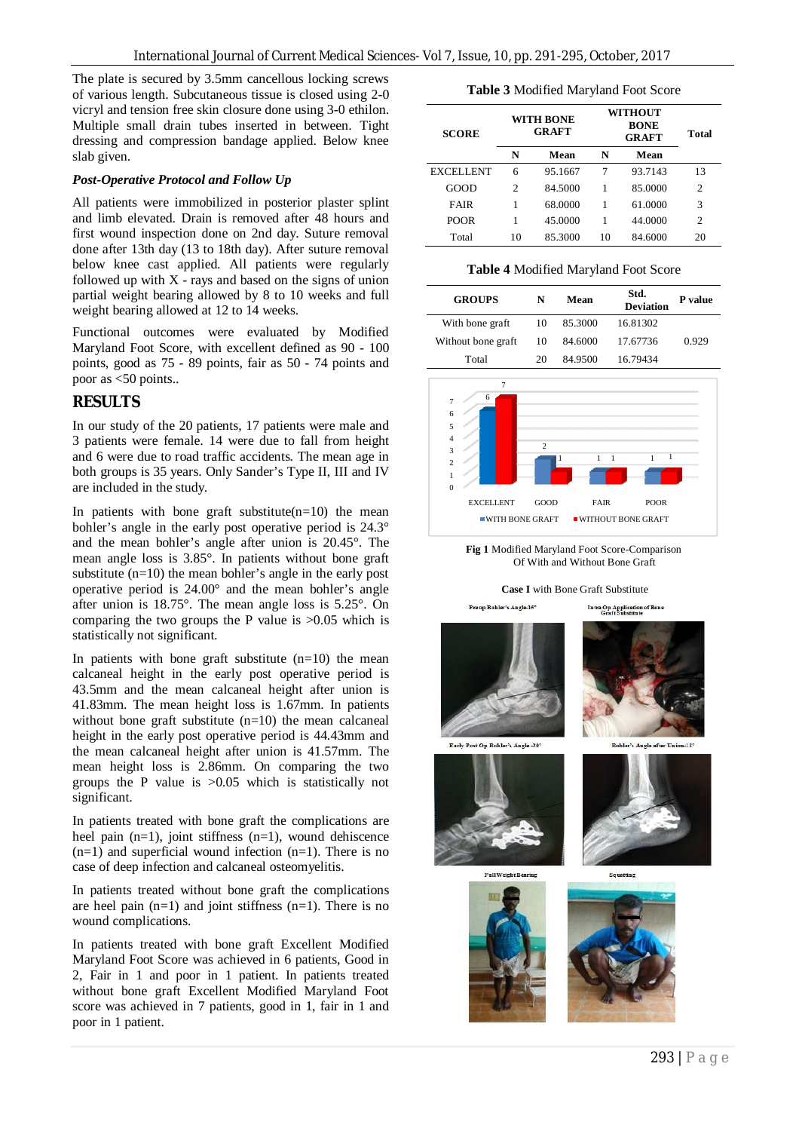The plate is secured by 3.5mm cancellous locking screws of various length. Subcutaneous tissue is closed using 2-0 vicryl and tension free skin closure done using 3-0 ethilon. Multiple small drain tubes inserted in between. Tight dressing and compression bandage applied. Below knee slab given.

#### *Post-Operative Protocol and Follow Up*

All patients were immobilized in posterior plaster splint and limb elevated. Drain is removed after 48 hours and first wound inspection done on 2nd day. Suture removal done after 13th day (13 to 18th day). After suture removal below knee cast applied. All patients were regularly followed up with  $X$  - rays and based on the signs of union partial weight bearing allowed by 8 to 10 weeks and full weight bearing allowed at 12 to 14 weeks.

Functional outcomes were evaluated by Modified Maryland Foot Score, with excellent defined as 90 - 100 points, good as 75 - 89 points, fair as 50 - 74 points and poor as <50 points..

### **RESULTS**

In our study of the 20 patients, 17 patients were male and 3 patients were female. 14 were due to fall from height and 6 were due to road traffic accidents. The mean age in both groups is 35 years. Only Sander's Type II, III and IV are included in the study.

In patients with bone graft substitute $(n=10)$  the mean bohler's angle in the early post operative period is 24.3° and the mean bohler's angle after union is 20.45°. The mean angle loss is 3.85°. In patients without bone graft substitute (n=10) the mean bohler's angle in the early post operative period is 24.00° and the mean bohler's angle after union is 18.75°. The mean angle loss is 5.25°. On comparing the two groups the P value is >0.05 which is statistically not significant.

In patients with bone graft substitute  $(n=10)$  the mean calcaneal height in the early post operative period is 43.5mm and the mean calcaneal height after union is 41.83mm. The mean height loss is 1.67mm. In patients without bone graft substitute (n=10) the mean calcaneal height in the early post operative period is 44.43mm and the mean calcaneal height after union is 41.57mm. The mean height loss is 2.86mm. On comparing the two groups the P value is >0.05 which is statistically not significant.

In patients treated with bone graft the complications are heel pain  $(n=1)$ , joint stiffness  $(n=1)$ , wound dehiscence  $(n=1)$  and superficial wound infection  $(n=1)$ . There is no case of deep infection and calcaneal osteomyelitis.

In patients treated without bone graft the complications are heel pain  $(n=1)$  and joint stiffness  $(n=1)$ . There is no wound complications.

In patients treated with bone graft Excellent Modified Maryland Foot Score was achieved in 6 patients, Good in 2, Fair in 1 and poor in 1 patient. In patients treated without bone graft Excellent Modified Maryland Foot score was achieved in 7 patients, good in 1, fair in 1 and poor in 1 patient.

**Table 3** Modified Maryland Foot Score

| <b>SCORE</b> | <b>WITH BONE</b><br><b>GRAFT</b> |         | WITHOUT<br><b>BONE</b><br><b>GRAFT</b> |         | Total          |
|--------------|----------------------------------|---------|----------------------------------------|---------|----------------|
|              | N                                | Mean    | N                                      | Mean    |                |
| EXCELLENT    | 6                                | 95.1667 | 7                                      | 93.7143 | 13             |
| GOOD         | 2                                | 84.5000 | 1                                      | 85.0000 | $\overline{c}$ |
| FAIR         |                                  | 68.0000 | 1                                      | 61.0000 | 3              |
| POOR         |                                  | 45.0000 | 1                                      | 44.0000 | 2              |
| Total        | 10                               | 85.3000 | 10                                     | 84.6000 | 20             |

**Table 4** Modified Maryland Foot Score

| <b>GROUPS</b>      | N  | Mean    | Std.<br>Deviation | P value |
|--------------------|----|---------|-------------------|---------|
| With bone graft    | 10 | 85.3000 | 16.81302          |         |
| Without bone graft | 10 | 84.6000 | 17.67736          | 0.929   |
| Total              | 20 | 84.9500 | 16.79434          |         |



**Fig 1** Modified Maryland Foot Score-Comparison Of With and Without Bone Graft

**Case I** with Bone Graft Substitute

Pre op Bohler's Angle-15°



Intra Op Application of Bone

Early Post Op Bohler's Angle -20



Squatting



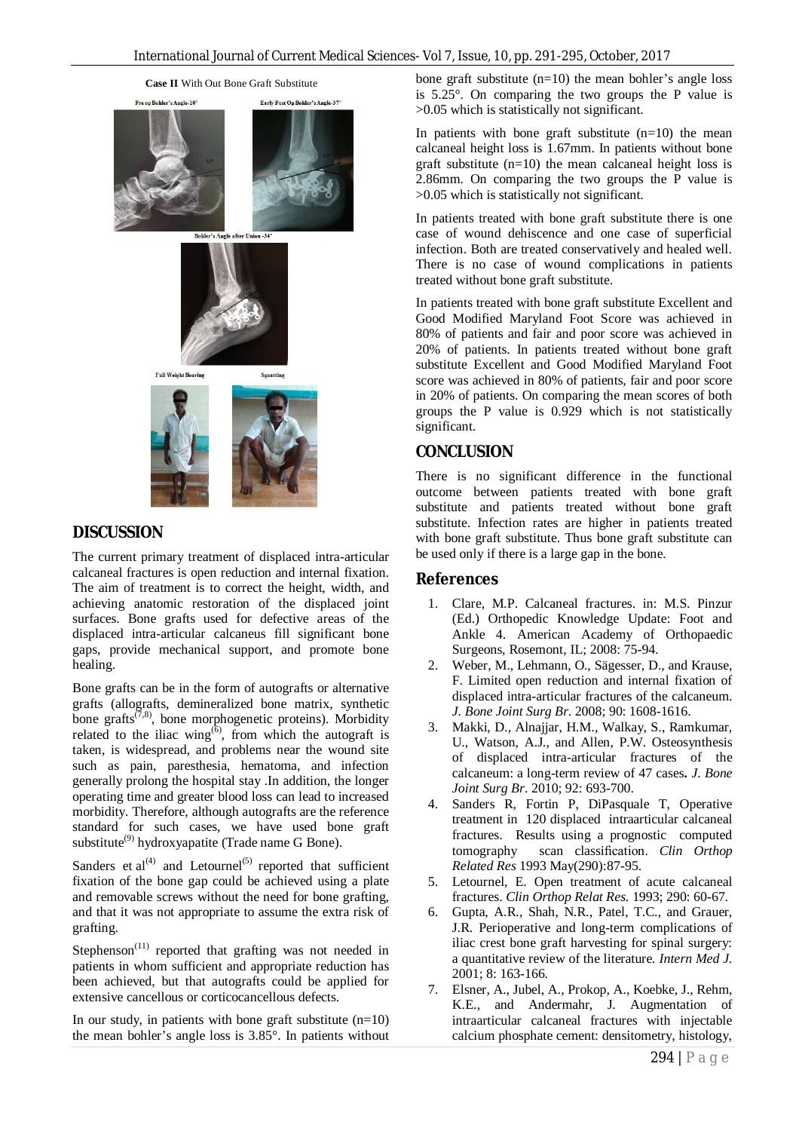

# **DISCUSSION**

The current primary treatment of displaced intra-articular calcaneal fractures is open reduction and internal fixation. The aim of treatment is to correct the height, width, and achieving anatomic restoration of the displaced joint surfaces. Bone grafts used for defective areas of the displaced intra-articular calcaneus fill significant bone gaps, provide mechanical support, and promote bone healing.

Bone grafts can be in the form of autografts or alternative grafts (allografts, demineralized bone matrix, synthetic bone grafts $(7,8)$ , bone morphogenetic proteins). Morbidity related to the iliac wing<sup> $(6)$ </sup>, from which the autograft is taken, is widespread, and problems near the wound site such as pain, paresthesia, hematoma, and infection generally prolong the hospital stay .In addition, the longer operating time and greater blood loss can lead to increased morbidity. Therefore, although autografts are the reference standard for such cases, we have used bone graft substitute<sup>(9)</sup> hydroxyapatite (Trade name G Bone).

Sanders et al<sup>(4)</sup> and Letournel<sup>(5)</sup> reported that sufficient fixation of the bone gap could be achieved using a plate and removable screws without the need for bone grafting, and that it was not appropriate to assume the extra risk of grafting.

Stephenson<sup>(11)</sup> reported that grafting was not needed in patients in whom sufficient and appropriate reduction has been achieved, but that autografts could be applied for extensive cancellous or corticocancellous defects.

In our study, in patients with bone graft substitute  $(n=10)$ the mean bohler's angle loss is 3.85°. In patients without bone graft substitute  $(n=10)$  the mean bohler's angle loss is 5.25°. On comparing the two groups the P value is >0.05 which is statistically not significant.

In patients with bone graft substitute  $(n=10)$  the mean calcaneal height loss is 1.67mm. In patients without bone graft substitute  $(n=10)$  the mean calcaneal height loss is 2.86mm. On comparing the two groups the P value is >0.05 which is statistically not significant.

In patients treated with bone graft substitute there is one case of wound dehiscence and one case of superficial infection. Both are treated conservatively and healed well. There is no case of wound complications in patients treated without bone graft substitute.

In patients treated with bone graft substitute Excellent and Good Modified Maryland Foot Score was achieved in 80% of patients and fair and poor score was achieved in 20% of patients. In patients treated without bone graft substitute Excellent and Good Modified Maryland Foot score was achieved in 80% of patients, fair and poor score in 20% of patients. On comparing the mean scores of both groups the P value is 0.929 which is not statistically significant.

# **CONCLUSION**

There is no significant difference in the functional outcome between patients treated with bone graft substitute and patients treated without bone graft substitute. Infection rates are higher in patients treated with bone graft substitute. Thus bone graft substitute can be used only if there is a large gap in the bone.

## **References**

- 1. Clare, M.P. Calcaneal fractures. in: M.S. Pinzur (Ed.) Orthopedic Knowledge Update: Foot and Ankle 4. American Academy of Orthopaedic Surgeons, Rosemont, IL; 2008: 75-94.
- 2. Weber, M., Lehmann, O., Sägesser, D., and Krause, F. Limited open reduction and internal fixation of displaced intra-articular fractures of the calcaneum. *J. Bone Joint Surg Br*. 2008; 90: 1608-1616.
- 3. Makki, D., Alnajjar, H.M., Walkay, S., Ramkumar, U., Watson, A.J., and Allen, P.W. Osteosynthesis of displaced intra-articular fractures of the calcaneum: a long-term review of 47 cases**.** *J. Bone Joint Surg Br*. 2010; 92: 693-700.
- 4. Sanders R, Fortin P, DiPasquale T, Operative treatment in 120 displaced intraarticular calcaneal fractures. Results using a prognostic computed tomography scan classification. *Clin Orthop Related Res* 1993 May(290):87-95.
- 5. Letournel, E. Open treatment of acute calcaneal fractures. *Clin Orthop Relat Res*. 1993; 290: 60-67.
- 6. Gupta, A.R., Shah, N.R., Patel, T.C., and Grauer, J.R. Perioperative and long-term complications of iliac crest bone graft harvesting for spinal surgery: a quantitative review of the literature*. Intern Med J.* 2001; 8: 163-166.
- 7. Elsner, A., Jubel, A., Prokop, A., Koebke, J., Rehm, K.E., and Andermahr, J. Augmentation of intraarticular calcaneal fractures with injectable calcium phosphate cement: densitometry, histology,